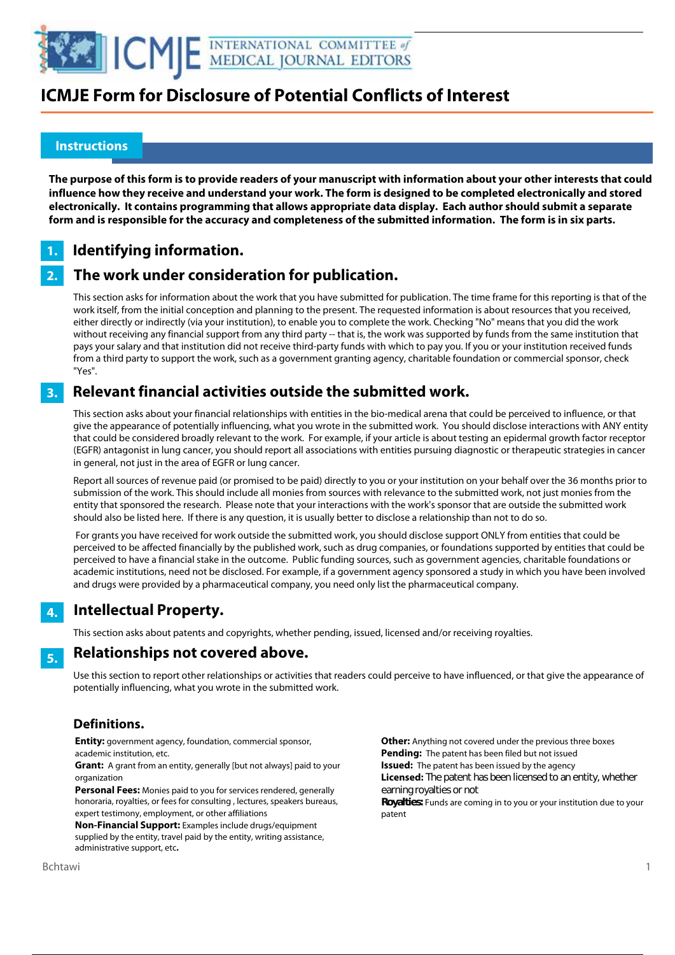

### **Instructions**

**The purpose of this form is to provide readers of your manuscript with information about your other interests that could influence how they receive and understand your work. The form is designed to be completed electronically and stored electronically. It contains programming that allows appropriate data display. Each author should submit a separate form and is responsible for the accuracy and completeness of the submitted information. The form is in six parts.** 

#### **Identifying information. 1.**

#### **The work under consideration for publication. 2.**

This section asks for information about the work that you have submitted for publication. The time frame for this reporting is that of the work itself, from the initial conception and planning to the present. The requested information is about resources that you received, either directly or indirectly (via your institution), to enable you to complete the work. Checking "No" means that you did the work without receiving any financial support from any third party -- that is, the work was supported by funds from the same institution that pays your salary and that institution did not receive third-party funds with which to pay you. If you or your institution received funds from a third party to support the work, such as a government granting agency, charitable foundation or commercial sponsor, check "Yes".

#### **Relevant financial activities outside the submitted work. 3.**

This section asks about your financial relationships with entities in the bio-medical arena that could be perceived to influence, or that give the appearance of potentially influencing, what you wrote in the submitted work. You should disclose interactions with ANY entity that could be considered broadly relevant to the work. For example, if your article is about testing an epidermal growth factor receptor (EGFR) antagonist in lung cancer, you should report all associations with entities pursuing diagnostic or therapeutic strategies in cancer in general, not just in the area of EGFR or lung cancer.

Report all sources of revenue paid (or promised to be paid) directly to you or your institution on your behalf over the 36 months prior to submission of the work. This should include all monies from sources with relevance to the submitted work, not just monies from the entity that sponsored the research. Please note that your interactions with the work's sponsor that are outside the submitted work should also be listed here. If there is any question, it is usually better to disclose a relationship than not to do so.

 For grants you have received for work outside the submitted work, you should disclose support ONLY from entities that could be perceived to be affected financially by the published work, such as drug companies, or foundations supported by entities that could be perceived to have a financial stake in the outcome. Public funding sources, such as government agencies, charitable foundations or academic institutions, need not be disclosed. For example, if a government agency sponsored a study in which you have been involved and drugs were provided by a pharmaceutical company, you need only list the pharmaceutical company.

#### **Intellectual Property. 4.**

This section asks about patents and copyrights, whether pending, issued, licensed and/or receiving royalties.

#### **Relationships not covered above. 5.**

Use this section to report other relationships or activities that readers could perceive to have influenced, or that give the appearance of potentially influencing, what you wrote in the submitted work.

### **Definitions.**

**Entity:** government agency, foundation, commercial sponsor, academic institution, etc.

**Grant:** A grant from an entity, generally [but not always] paid to your organization

**Personal Fees:** Monies paid to you for services rendered, generally honoraria, royalties, or fees for consulting , lectures, speakers bureaus, expert testimony, employment, or other affiliations

**Non-Financial Support:** Examples include drugs/equipment supplied by the entity, travel paid by the entity, writing assistance, administrative support, etc**.**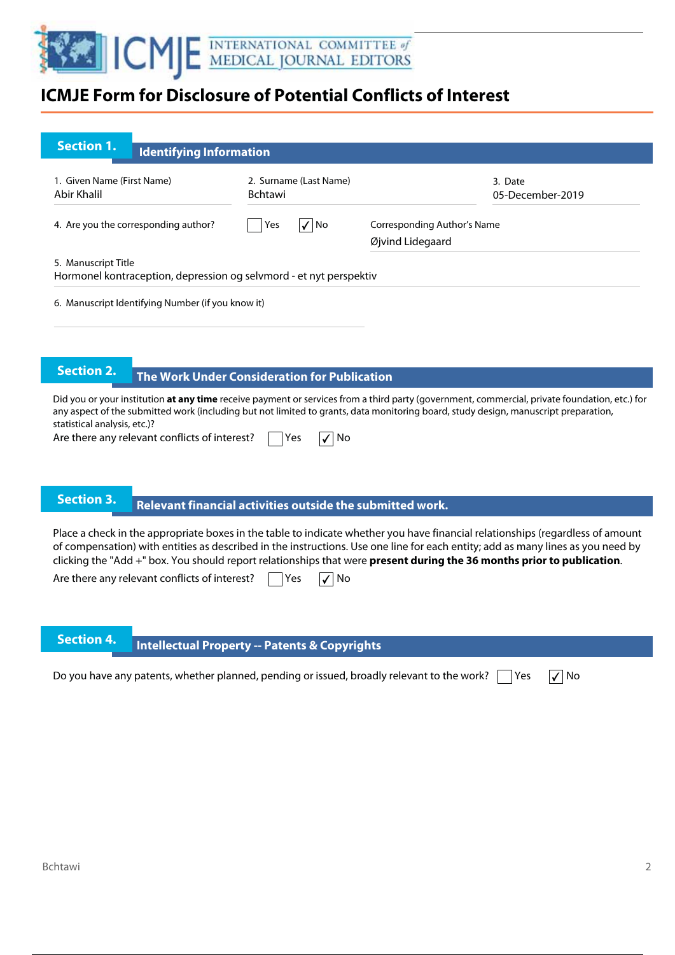

| <b>Section 1.</b>                                                                                                                                                                                                                                                                                                                                                                                                                                         | <b>Identifying Information</b>                    |                                                                    |                                                 |  |  |
|-----------------------------------------------------------------------------------------------------------------------------------------------------------------------------------------------------------------------------------------------------------------------------------------------------------------------------------------------------------------------------------------------------------------------------------------------------------|---------------------------------------------------|--------------------------------------------------------------------|-------------------------------------------------|--|--|
| 1. Given Name (First Name)<br><b>Abir Khalil</b>                                                                                                                                                                                                                                                                                                                                                                                                          |                                                   | 2. Surname (Last Name)<br><b>Bchtawi</b>                           | 3. Date<br>05-December-2019                     |  |  |
| 4. Are you the corresponding author?                                                                                                                                                                                                                                                                                                                                                                                                                      |                                                   | $\sqrt{ N}$<br>Yes                                                 | Corresponding Author's Name<br>Øjvind Lidegaard |  |  |
| 5. Manuscript Title                                                                                                                                                                                                                                                                                                                                                                                                                                       |                                                   | Hormonel kontraception, depression og selvmord - et nyt perspektiv |                                                 |  |  |
|                                                                                                                                                                                                                                                                                                                                                                                                                                                           | 6. Manuscript Identifying Number (if you know it) |                                                                    |                                                 |  |  |
|                                                                                                                                                                                                                                                                                                                                                                                                                                                           |                                                   |                                                                    |                                                 |  |  |
| <b>Section 2.</b>                                                                                                                                                                                                                                                                                                                                                                                                                                         |                                                   | The Work Under Consideration for Publication                       |                                                 |  |  |
| Did you or your institution at any time receive payment or services from a third party (government, commercial, private foundation, etc.) for<br>any aspect of the submitted work (including but not limited to grants, data monitoring board, study design, manuscript preparation,<br>statistical analysis, etc.)?                                                                                                                                      |                                                   |                                                                    |                                                 |  |  |
|                                                                                                                                                                                                                                                                                                                                                                                                                                                           | Are there any relevant conflicts of interest?     | $ \boldsymbol{\sqrt} $ No<br>Yes                                   |                                                 |  |  |
|                                                                                                                                                                                                                                                                                                                                                                                                                                                           |                                                   |                                                                    |                                                 |  |  |
| <b>Section 3.</b>                                                                                                                                                                                                                                                                                                                                                                                                                                         |                                                   | Relevant financial activities outside the submitted work.          |                                                 |  |  |
| Place a check in the appropriate boxes in the table to indicate whether you have financial relationships (regardless of amount<br>of compensation) with entities as described in the instructions. Use one line for each entity; add as many lines as you need by<br>clicking the "Add +" box. You should report relationships that were present during the 36 months prior to publication.<br>Are there any relevant conflicts of interest?<br>Yes<br>No |                                                   |                                                                    |                                                 |  |  |
|                                                                                                                                                                                                                                                                                                                                                                                                                                                           |                                                   |                                                                    |                                                 |  |  |
|                                                                                                                                                                                                                                                                                                                                                                                                                                                           |                                                   |                                                                    |                                                 |  |  |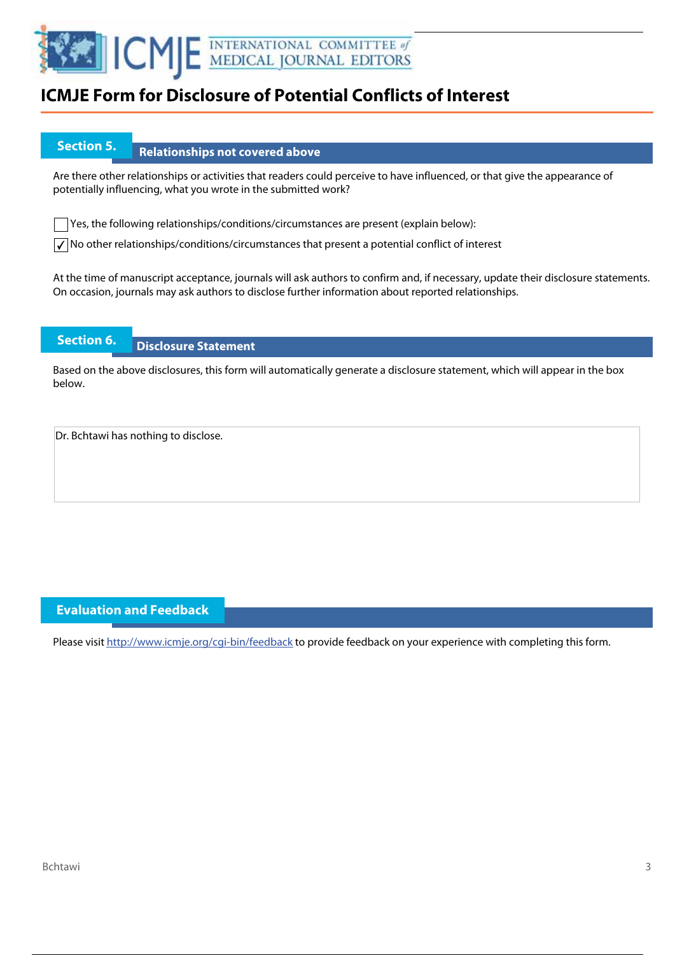

### **Section 5.** Relationships not covered above

Are there other relationships or activities that readers could perceive to have influenced, or that give the appearance of potentially influencing, what you wrote in the submitted work?

Yes, the following relationships/conditions/circumstances are present (explain below):

 $\sqrt{\sqrt{}}$  No other relationships/conditions/circumstances that present a potential conflict of interest

At the time of manuscript acceptance, journals will ask authors to confirm and, if necessary, update their disclosure statements. On occasion, journals may ask authors to disclose further information about reported relationships.

### **Section 6. Disclosure Statement**

Based on the above disclosures, this form will automatically generate a disclosure statement, which will appear in the box below.

Dr. Bchtawi has nothing to disclose.

### **Evaluation and Feedback**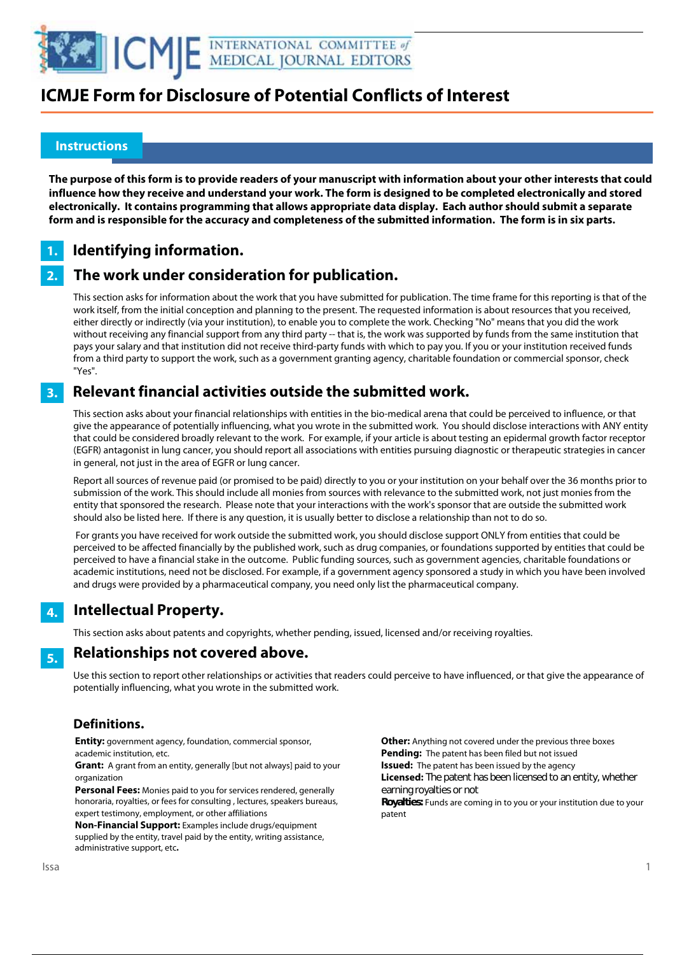

### **Instructions**

**The purpose of this form is to provide readers of your manuscript with information about your other interests that could influence how they receive and understand your work. The form is designed to be completed electronically and stored electronically. It contains programming that allows appropriate data display. Each author should submit a separate form and is responsible for the accuracy and completeness of the submitted information. The form is in six parts.** 

#### **Identifying information. 1.**

#### **The work under consideration for publication. 2.**

This section asks for information about the work that you have submitted for publication. The time frame for this reporting is that of the work itself, from the initial conception and planning to the present. The requested information is about resources that you received, either directly or indirectly (via your institution), to enable you to complete the work. Checking "No" means that you did the work without receiving any financial support from any third party -- that is, the work was supported by funds from the same institution that pays your salary and that institution did not receive third-party funds with which to pay you. If you or your institution received funds from a third party to support the work, such as a government granting agency, charitable foundation or commercial sponsor, check "Yes".

#### **Relevant financial activities outside the submitted work. 3.**

This section asks about your financial relationships with entities in the bio-medical arena that could be perceived to influence, or that give the appearance of potentially influencing, what you wrote in the submitted work. You should disclose interactions with ANY entity that could be considered broadly relevant to the work. For example, if your article is about testing an epidermal growth factor receptor (EGFR) antagonist in lung cancer, you should report all associations with entities pursuing diagnostic or therapeutic strategies in cancer in general, not just in the area of EGFR or lung cancer.

Report all sources of revenue paid (or promised to be paid) directly to you or your institution on your behalf over the 36 months prior to submission of the work. This should include all monies from sources with relevance to the submitted work, not just monies from the entity that sponsored the research. Please note that your interactions with the work's sponsor that are outside the submitted work should also be listed here. If there is any question, it is usually better to disclose a relationship than not to do so.

 For grants you have received for work outside the submitted work, you should disclose support ONLY from entities that could be perceived to be affected financially by the published work, such as drug companies, or foundations supported by entities that could be perceived to have a financial stake in the outcome. Public funding sources, such as government agencies, charitable foundations or academic institutions, need not be disclosed. For example, if a government agency sponsored a study in which you have been involved and drugs were provided by a pharmaceutical company, you need only list the pharmaceutical company.

### **Intellectual Property. 4.**

This section asks about patents and copyrights, whether pending, issued, licensed and/or receiving royalties.

#### **Relationships not covered above. 5.**

Use this section to report other relationships or activities that readers could perceive to have influenced, or that give the appearance of potentially influencing, what you wrote in the submitted work.

### **Definitions.**

**Entity:** government agency, foundation, commercial sponsor, academic institution, etc.

**Grant:** A grant from an entity, generally [but not always] paid to your organization

**Personal Fees:** Monies paid to you for services rendered, generally honoraria, royalties, or fees for consulting , lectures, speakers bureaus, expert testimony, employment, or other affiliations

**Non-Financial Support:** Examples include drugs/equipment supplied by the entity, travel paid by the entity, writing assistance, administrative support, etc**.**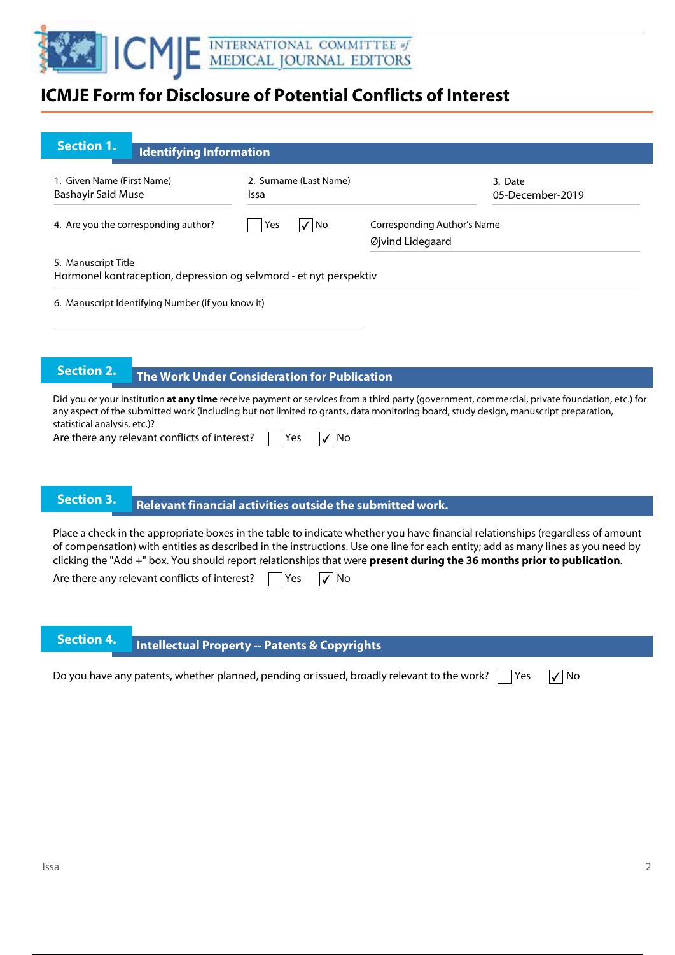

| <b>Section 1.</b>                                                                                                                                                                                                                                                                                                                                                                                                                                         | <b>Identifying Information</b>                    |                                                                    |                                                 |  |  |  |
|-----------------------------------------------------------------------------------------------------------------------------------------------------------------------------------------------------------------------------------------------------------------------------------------------------------------------------------------------------------------------------------------------------------------------------------------------------------|---------------------------------------------------|--------------------------------------------------------------------|-------------------------------------------------|--|--|--|
| 1. Given Name (First Name)<br><b>Bashayir Said Muse</b>                                                                                                                                                                                                                                                                                                                                                                                                   |                                                   | 2. Surname (Last Name)<br>Issa                                     | 3. Date<br>05-December-2019                     |  |  |  |
| 4. Are you the corresponding author?                                                                                                                                                                                                                                                                                                                                                                                                                      |                                                   | No<br>Yes                                                          | Corresponding Author's Name<br>Øjvind Lidegaard |  |  |  |
| 5. Manuscript Title                                                                                                                                                                                                                                                                                                                                                                                                                                       |                                                   | Hormonel kontraception, depression og selvmord - et nyt perspektiv |                                                 |  |  |  |
|                                                                                                                                                                                                                                                                                                                                                                                                                                                           | 6. Manuscript Identifying Number (if you know it) |                                                                    |                                                 |  |  |  |
|                                                                                                                                                                                                                                                                                                                                                                                                                                                           |                                                   |                                                                    |                                                 |  |  |  |
| <b>Section 2.</b>                                                                                                                                                                                                                                                                                                                                                                                                                                         |                                                   | <b>The Work Under Consideration for Publication</b>                |                                                 |  |  |  |
| Did you or your institution at any time receive payment or services from a third party (government, commercial, private foundation, etc.) for<br>any aspect of the submitted work (including but not limited to grants, data monitoring board, study design, manuscript preparation,<br>statistical analysis, etc.)?<br>Are there any relevant conflicts of interest?<br>No<br>Yes                                                                        |                                                   |                                                                    |                                                 |  |  |  |
| <b>Section 3.</b>                                                                                                                                                                                                                                                                                                                                                                                                                                         |                                                   | Relevant financial activities outside the submitted work.          |                                                 |  |  |  |
| Place a check in the appropriate boxes in the table to indicate whether you have financial relationships (regardless of amount<br>of compensation) with entities as described in the instructions. Use one line for each entity; add as many lines as you need by<br>clicking the "Add +" box. You should report relationships that were present during the 36 months prior to publication.<br>Are there any relevant conflicts of interest?<br>Yes<br>No |                                                   |                                                                    |                                                 |  |  |  |
| <b>Section 4.</b>                                                                                                                                                                                                                                                                                                                                                                                                                                         |                                                   | <b>Intellectual Property -- Patents &amp; Copyrights</b>           |                                                 |  |  |  |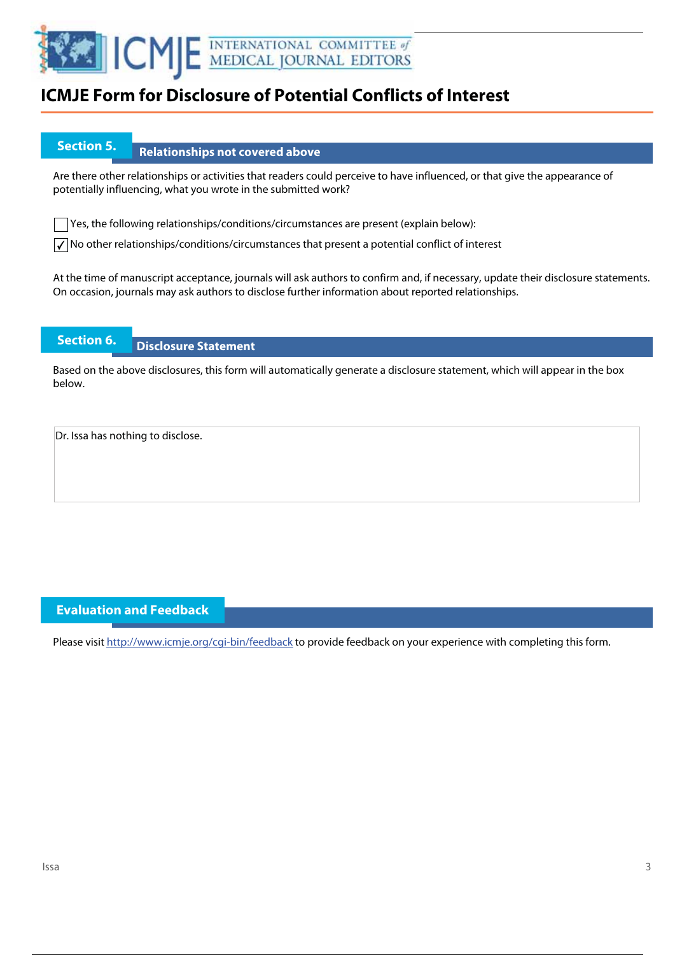

### **Section 5.** Relationships not covered above

Are there other relationships or activities that readers could perceive to have influenced, or that give the appearance of potentially influencing, what you wrote in the submitted work?

Yes, the following relationships/conditions/circumstances are present (explain below):

 $\sqrt{\sqrt{}}$  No other relationships/conditions/circumstances that present a potential conflict of interest

At the time of manuscript acceptance, journals will ask authors to confirm and, if necessary, update their disclosure statements. On occasion, journals may ask authors to disclose further information about reported relationships.

### **Section 6. Disclosure Statement**

Based on the above disclosures, this form will automatically generate a disclosure statement, which will appear in the box below.

Dr. Issa has nothing to disclose.

### **Evaluation and Feedback**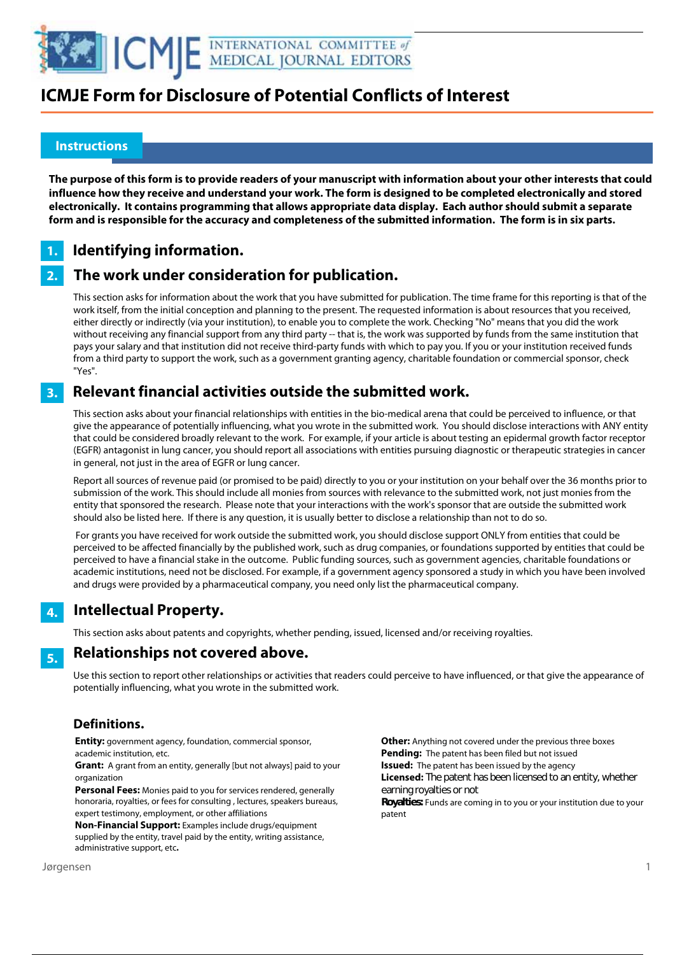

### **Instructions**

**The purpose of this form is to provide readers of your manuscript with information about your other interests that could influence how they receive and understand your work. The form is designed to be completed electronically and stored electronically. It contains programming that allows appropriate data display. Each author should submit a separate form and is responsible for the accuracy and completeness of the submitted information. The form is in six parts.** 

#### **Identifying information. 1.**

#### **The work under consideration for publication. 2.**

This section asks for information about the work that you have submitted for publication. The time frame for this reporting is that of the work itself, from the initial conception and planning to the present. The requested information is about resources that you received, either directly or indirectly (via your institution), to enable you to complete the work. Checking "No" means that you did the work without receiving any financial support from any third party -- that is, the work was supported by funds from the same institution that pays your salary and that institution did not receive third-party funds with which to pay you. If you or your institution received funds from a third party to support the work, such as a government granting agency, charitable foundation or commercial sponsor, check "Yes".

#### **Relevant financial activities outside the submitted work. 3.**

This section asks about your financial relationships with entities in the bio-medical arena that could be perceived to influence, or that give the appearance of potentially influencing, what you wrote in the submitted work. You should disclose interactions with ANY entity that could be considered broadly relevant to the work. For example, if your article is about testing an epidermal growth factor receptor (EGFR) antagonist in lung cancer, you should report all associations with entities pursuing diagnostic or therapeutic strategies in cancer in general, not just in the area of EGFR or lung cancer.

Report all sources of revenue paid (or promised to be paid) directly to you or your institution on your behalf over the 36 months prior to submission of the work. This should include all monies from sources with relevance to the submitted work, not just monies from the entity that sponsored the research. Please note that your interactions with the work's sponsor that are outside the submitted work should also be listed here. If there is any question, it is usually better to disclose a relationship than not to do so.

 For grants you have received for work outside the submitted work, you should disclose support ONLY from entities that could be perceived to be affected financially by the published work, such as drug companies, or foundations supported by entities that could be perceived to have a financial stake in the outcome. Public funding sources, such as government agencies, charitable foundations or academic institutions, need not be disclosed. For example, if a government agency sponsored a study in which you have been involved and drugs were provided by a pharmaceutical company, you need only list the pharmaceutical company.

#### **Intellectual Property. 4.**

This section asks about patents and copyrights, whether pending, issued, licensed and/or receiving royalties.

#### **Relationships not covered above. 5.**

Use this section to report other relationships or activities that readers could perceive to have influenced, or that give the appearance of potentially influencing, what you wrote in the submitted work.

### **Definitions.**

**Entity:** government agency, foundation, commercial sponsor, academic institution, etc.

**Grant:** A grant from an entity, generally [but not always] paid to your organization

**Personal Fees:** Monies paid to you for services rendered, generally honoraria, royalties, or fees for consulting , lectures, speakers bureaus, expert testimony, employment, or other affiliations

**Non-Financial Support:** Examples include drugs/equipment supplied by the entity, travel paid by the entity, writing assistance, administrative support, etc**.**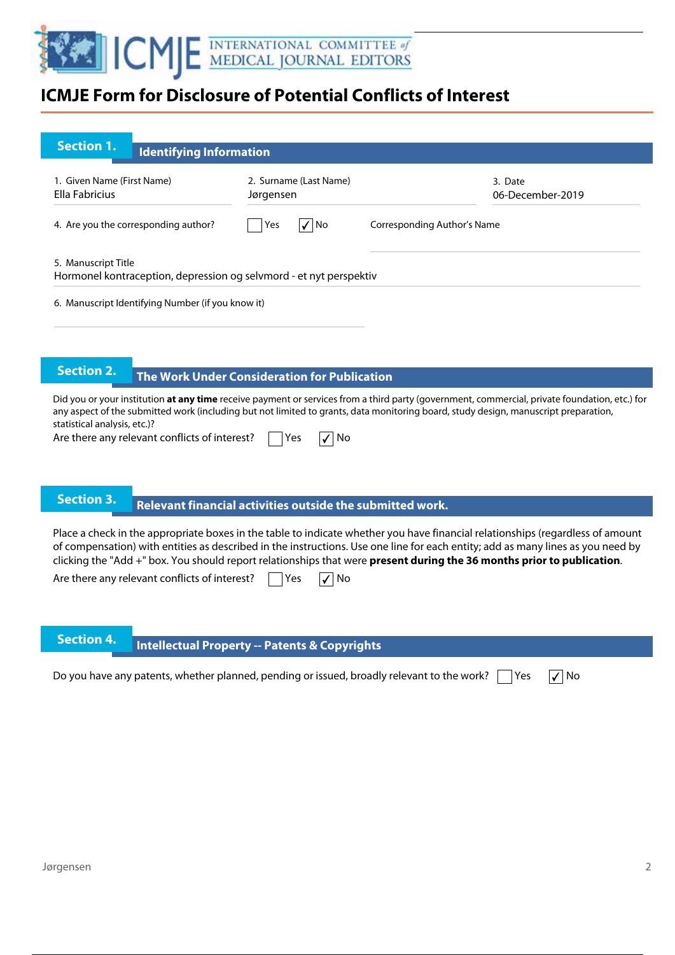

| <b>Section 1.</b><br><b>Identifying Information</b>                                                                                                                                                                                                                                                                                                                                                                                                       |                                                                    |                             |  |  |  |  |
|-----------------------------------------------------------------------------------------------------------------------------------------------------------------------------------------------------------------------------------------------------------------------------------------------------------------------------------------------------------------------------------------------------------------------------------------------------------|--------------------------------------------------------------------|-----------------------------|--|--|--|--|
| 1. Given Name (First Name)<br>Ella Fabricius                                                                                                                                                                                                                                                                                                                                                                                                              | 2. Surname (Last Name)<br>Jørgensen                                | 3. Date<br>06-December-2019 |  |  |  |  |
| 4. Are you the corresponding author?                                                                                                                                                                                                                                                                                                                                                                                                                      | $\sqrt{ N_0 }$<br>Yes                                              | Corresponding Author's Name |  |  |  |  |
| 5. Manuscript Title                                                                                                                                                                                                                                                                                                                                                                                                                                       | Hormonel kontraception, depression og selvmord - et nyt perspektiv |                             |  |  |  |  |
| 6. Manuscript Identifying Number (if you know it)                                                                                                                                                                                                                                                                                                                                                                                                         |                                                                    |                             |  |  |  |  |
|                                                                                                                                                                                                                                                                                                                                                                                                                                                           |                                                                    |                             |  |  |  |  |
| <b>Section 2.</b>                                                                                                                                                                                                                                                                                                                                                                                                                                         | <b>The Work Under Consideration for Publication</b>                |                             |  |  |  |  |
| Did you or your institution at any time receive payment or services from a third party (government, commercial, private foundation, etc.) for<br>any aspect of the submitted work (including but not limited to grants, data monitoring board, study design, manuscript preparation,<br>statistical analysis, etc.)?<br>Are there any relevant conflicts of interest?<br>Yes<br>No                                                                        |                                                                    |                             |  |  |  |  |
| <b>Section 3.</b><br>Relevant financial activities outside the submitted work.                                                                                                                                                                                                                                                                                                                                                                            |                                                                    |                             |  |  |  |  |
| Place a check in the appropriate boxes in the table to indicate whether you have financial relationships (regardless of amount<br>of compensation) with entities as described in the instructions. Use one line for each entity; add as many lines as you need by<br>clicking the "Add +" box. You should report relationships that were present during the 36 months prior to publication.<br>Are there any relevant conflicts of interest?<br>No<br>Yes |                                                                    |                             |  |  |  |  |
| <b>Section 4.</b>                                                                                                                                                                                                                                                                                                                                                                                                                                         | <b>Intellectual Property -- Patents &amp; Copyrights</b>           |                             |  |  |  |  |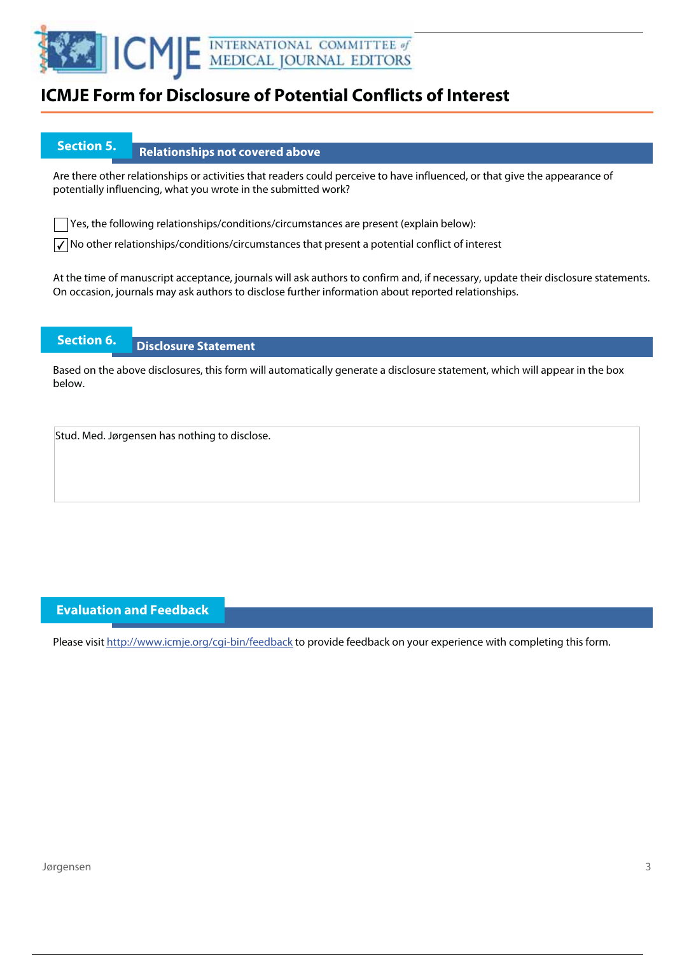

### **Section 5.** Relationships not covered above

Are there other relationships or activities that readers could perceive to have influenced, or that give the appearance of potentially influencing, what you wrote in the submitted work?

Yes, the following relationships/conditions/circumstances are present (explain below):

 $\sqrt{\sqrt{}}$  No other relationships/conditions/circumstances that present a potential conflict of interest

At the time of manuscript acceptance, journals will ask authors to confirm and, if necessary, update their disclosure statements. On occasion, journals may ask authors to disclose further information about reported relationships.

### **Section 6. Disclosure Statement**

Based on the above disclosures, this form will automatically generate a disclosure statement, which will appear in the box below.

Stud. Med. Jørgensen has nothing to disclose.

### **Evaluation and Feedback**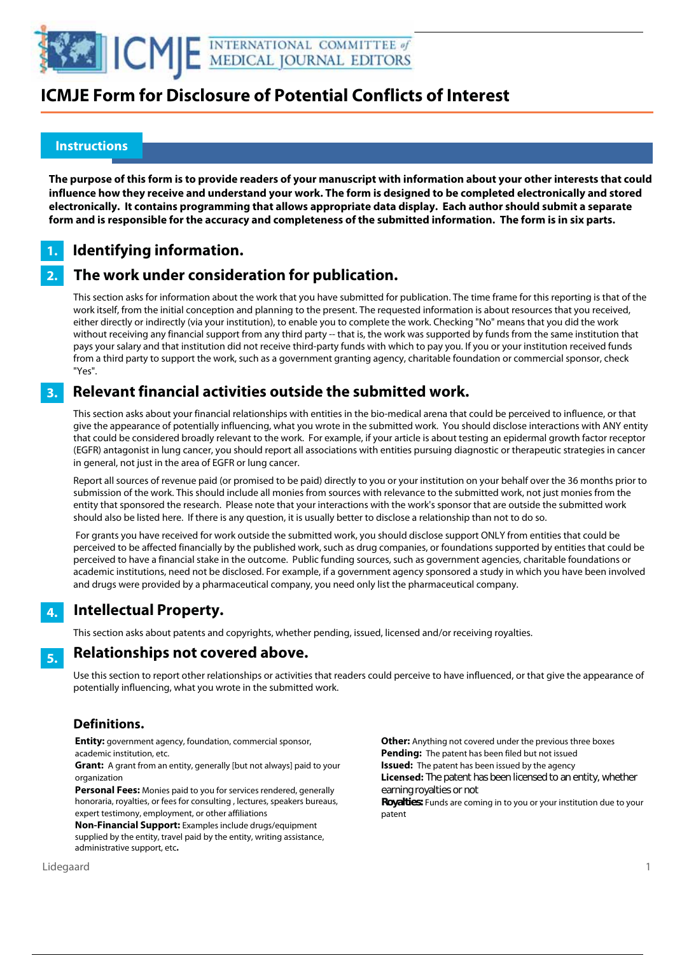

### **Instructions**

**The purpose of this form is to provide readers of your manuscript with information about your other interests that could influence how they receive and understand your work. The form is designed to be completed electronically and stored electronically. It contains programming that allows appropriate data display. Each author should submit a separate form and is responsible for the accuracy and completeness of the submitted information. The form is in six parts.** 

#### **Identifying information. 1.**

#### **The work under consideration for publication. 2.**

This section asks for information about the work that you have submitted for publication. The time frame for this reporting is that of the work itself, from the initial conception and planning to the present. The requested information is about resources that you received, either directly or indirectly (via your institution), to enable you to complete the work. Checking "No" means that you did the work without receiving any financial support from any third party -- that is, the work was supported by funds from the same institution that pays your salary and that institution did not receive third-party funds with which to pay you. If you or your institution received funds from a third party to support the work, such as a government granting agency, charitable foundation or commercial sponsor, check "Yes".

#### **Relevant financial activities outside the submitted work. 3.**

This section asks about your financial relationships with entities in the bio-medical arena that could be perceived to influence, or that give the appearance of potentially influencing, what you wrote in the submitted work. You should disclose interactions with ANY entity that could be considered broadly relevant to the work. For example, if your article is about testing an epidermal growth factor receptor (EGFR) antagonist in lung cancer, you should report all associations with entities pursuing diagnostic or therapeutic strategies in cancer in general, not just in the area of EGFR or lung cancer.

Report all sources of revenue paid (or promised to be paid) directly to you or your institution on your behalf over the 36 months prior to submission of the work. This should include all monies from sources with relevance to the submitted work, not just monies from the entity that sponsored the research. Please note that your interactions with the work's sponsor that are outside the submitted work should also be listed here. If there is any question, it is usually better to disclose a relationship than not to do so.

 For grants you have received for work outside the submitted work, you should disclose support ONLY from entities that could be perceived to be affected financially by the published work, such as drug companies, or foundations supported by entities that could be perceived to have a financial stake in the outcome. Public funding sources, such as government agencies, charitable foundations or academic institutions, need not be disclosed. For example, if a government agency sponsored a study in which you have been involved and drugs were provided by a pharmaceutical company, you need only list the pharmaceutical company.

#### **Intellectual Property. 4.**

This section asks about patents and copyrights, whether pending, issued, licensed and/or receiving royalties.

#### **Relationships not covered above. 5.**

Use this section to report other relationships or activities that readers could perceive to have influenced, or that give the appearance of potentially influencing, what you wrote in the submitted work.

### **Definitions.**

**Entity:** government agency, foundation, commercial sponsor, academic institution, etc.

**Grant:** A grant from an entity, generally [but not always] paid to your organization

**Personal Fees:** Monies paid to you for services rendered, generally honoraria, royalties, or fees for consulting , lectures, speakers bureaus, expert testimony, employment, or other affiliations

**Non-Financial Support:** Examples include drugs/equipment supplied by the entity, travel paid by the entity, writing assistance, administrative support, etc**.**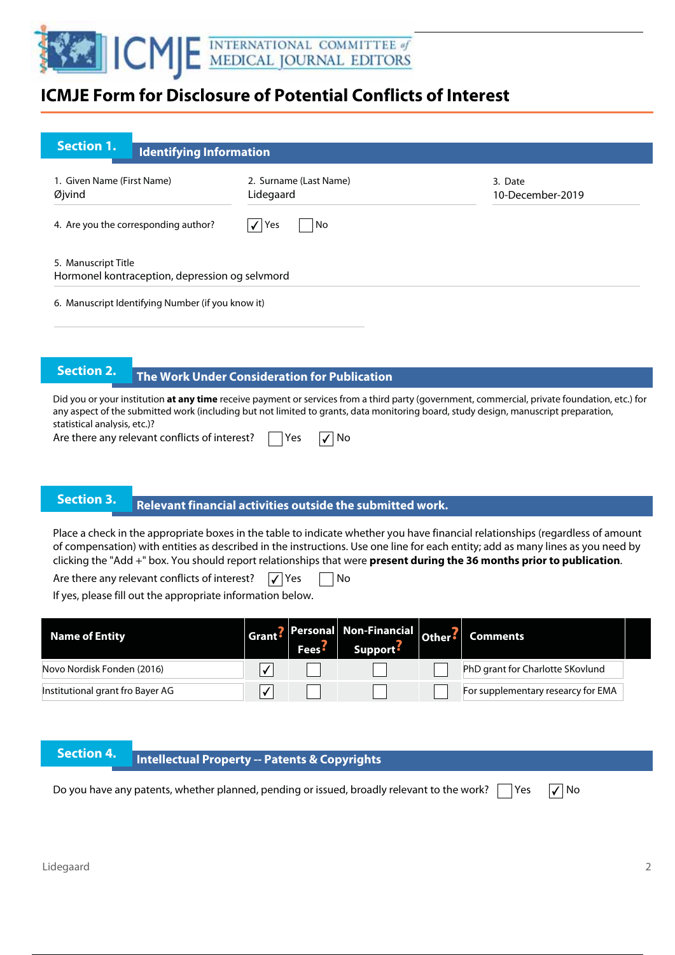

| <b>Section 1.</b>                    | <b>Identifying Information</b>                    |                                     |                             |  |
|--------------------------------------|---------------------------------------------------|-------------------------------------|-----------------------------|--|
| 1. Given Name (First Name)<br>Øjvind |                                                   | 2. Surname (Last Name)<br>Lidegaard | 3. Date<br>10-December-2019 |  |
| 4. Are you the corresponding author? |                                                   | $\sqrt{\left  \right.}$ Yes<br>l No |                             |  |
| 5. Manuscript Title                  | Hormonel kontraception, depression og selvmord    |                                     |                             |  |
|                                      | 6. Manuscript Identifying Number (if you know it) |                                     |                             |  |

## **The Work Under Consideration for Publication**

Did you or your institution **at any time** receive payment or services from a third party (government, commercial, private foundation, etc.) for any aspect of the submitted work (including but not limited to grants, data monitoring board, study design, manuscript preparation, statistical analysis, etc.)?

| ∣√∣No |
|-------|
|-------|

### **Relevant financial activities outside the submitted work. Section 3. Relevant financial activities outs**

Place a check in the appropriate boxes in the table to indicate whether you have financial relationships (regardless of amount of compensation) with entities as described in the instructions. Use one line for each entity; add as many lines as you need by clicking the "Add +" box. You should report relationships that were **present during the 36 months prior to publication**.

Are there any relevant conflicts of interest?  $\Box$  Yes  $\Box$  No

If yes, please fill out the appropriate information below.

| <b>Name of Entity</b>            | <b>Fees</b> | Grant? Personal Non-Financial Other?<br><b>Support:</b> | <b>Comments</b>                    |  |
|----------------------------------|-------------|---------------------------------------------------------|------------------------------------|--|
| Novo Nordisk Fonden (2016)       |             |                                                         | PhD grant for Charlotte SKovlund   |  |
| Institutional grant fro Bayer AG |             |                                                         | For supplementary researcy for EMA |  |

### **Intellectual Property -- Patents & Copyrights**